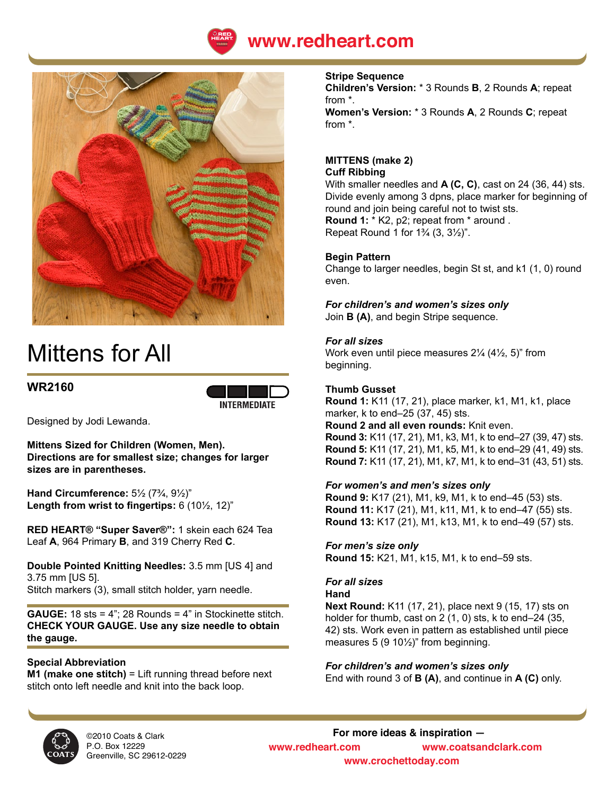



# Mittens for All

# **WR2160**



Designed by Jodi Lewanda.

**Mittens Sized for Children (Women, Men). Directions are for smallest size; changes for larger sizes are in parentheses.**

**Hand Circumference:** 5½ (7¾, 9½)" **Length from wrist to fingertips:** 6 (10½, 12)"

**RED HEART® "Super Saver®":** 1 skein each 624 Tea Leaf **A**, 964 Primary **B**, and 319 Cherry Red **C**.

**Double Pointed Knitting Needles:** 3.5 mm [US 4] and 3.75 mm [US 5]. Stitch markers (3), small stitch holder, yarn needle.

**GAUGE:** 18 sts = 4"; 28 Rounds = 4" in Stockinette stitch. **CHECK YOUR GAUGE. Use any size needle to obtain the gauge.**

# **Special Abbreviation**

**M1 (make one stitch)** = Lift running thread before next stitch onto left needle and knit into the back loop.

#### **Stripe Sequence**

**Children's Version:** \* 3 Rounds **B**, 2 Rounds **A**; repeat from \*. **Women's Version:** \* 3 Rounds **A**, 2 Rounds **C**; repeat from \*.

# **MITTENS (make 2)**

#### **Cuff Ribbing**

With smaller needles and **A (C, C)**, cast on 24 (36, 44) sts. Divide evenly among 3 dpns, place marker for beginning of round and join being careful not to twist sts. **Round 1:** \* K2, p2; repeat from \* around .

Repeat Round 1 for  $1\frac{3}{4}$  (3,  $3\frac{1}{2}$ )".

# **Begin Pattern**

Change to larger needles, begin St st, and k1 (1, 0) round even.

*For children's and women's sizes only*

Join **B (A)**, and begin Stripe sequence.

#### *For all sizes*

Work even until piece measures 2¼ (4½, 5)" from beginning.

# **Thumb Gusset**

**Round 1:** K11 (17, 21), place marker, k1, M1, k1, place marker, k to end–25 (37, 45) sts. **Round 2 and all even rounds:** Knit even. **Round 3:** K11 (17, 21), M1, k3, M1, k to end–27 (39, 47) sts. **Round 5:** K11 (17, 21), M1, k5, M1, k to end–29 (41, 49) sts.

**Round 7:** K11 (17, 21), M1, k7, M1, k to end–31 (43, 51) sts.

#### *For women's and men's sizes only*

**Round 9:** K17 (21), M1, k9, M1, k to end–45 (53) sts. **Round 11:** K17 (21), M1, k11, M1, k to end–47 (55) sts. **Round 13:** K17 (21), M1, k13, M1, k to end–49 (57) sts.

# *For men's size only*

**Round 15:** K21, M1, k15, M1, k to end–59 sts.

# *For all sizes*

#### **Hand**

**Next Round:** K11 (17, 21), place next 9 (15, 17) sts on holder for thumb, cast on 2 (1, 0) sts, k to end–24 (35, 42) sts. Work even in pattern as established until piece measures  $5$  (9 10 $\frac{1}{2}$ )" from beginning.

#### *For children's and women's sizes only*

End with round 3 of **B (A)**, and continue in **A (C)** only.



©2010 Coats & Clark P.O. Box 12229 Greenville, SC 29612-0229

**For more ideas & inspiration www.redheart.com www.coatsandclark.com www.crochettoday.com**